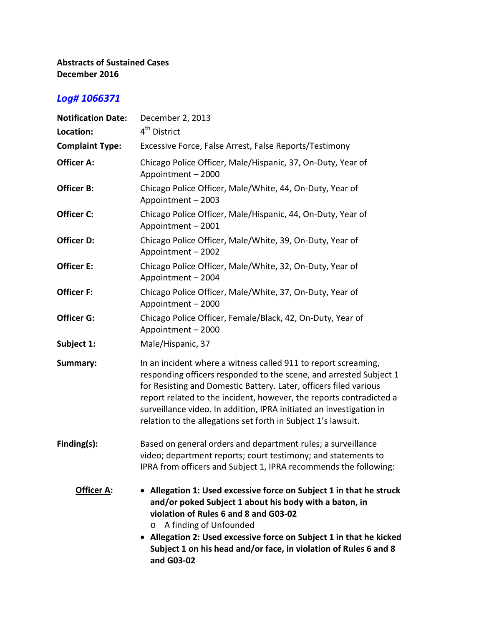## **Abstracts of Sustained Cases December 2016**

## *Log# 1066371*

| <b>Notification Date:</b> | December 2, 2013                                                                                                                                                                                                                                                                                                                                                                                                         |
|---------------------------|--------------------------------------------------------------------------------------------------------------------------------------------------------------------------------------------------------------------------------------------------------------------------------------------------------------------------------------------------------------------------------------------------------------------------|
| Location:                 | 4 <sup>th</sup> District                                                                                                                                                                                                                                                                                                                                                                                                 |
| <b>Complaint Type:</b>    | Excessive Force, False Arrest, False Reports/Testimony                                                                                                                                                                                                                                                                                                                                                                   |
| Officer A:                | Chicago Police Officer, Male/Hispanic, 37, On-Duty, Year of<br>Appointment - 2000                                                                                                                                                                                                                                                                                                                                        |
| Officer B:                | Chicago Police Officer, Male/White, 44, On-Duty, Year of<br>Appointment - 2003                                                                                                                                                                                                                                                                                                                                           |
| Officer C:                | Chicago Police Officer, Male/Hispanic, 44, On-Duty, Year of<br>Appointment - 2001                                                                                                                                                                                                                                                                                                                                        |
| Officer D:                | Chicago Police Officer, Male/White, 39, On-Duty, Year of<br>Appointment - 2002                                                                                                                                                                                                                                                                                                                                           |
| Officer E:                | Chicago Police Officer, Male/White, 32, On-Duty, Year of<br>Appointment - 2004                                                                                                                                                                                                                                                                                                                                           |
| Officer F:                | Chicago Police Officer, Male/White, 37, On-Duty, Year of<br>Appointment - 2000                                                                                                                                                                                                                                                                                                                                           |
| Officer G:                | Chicago Police Officer, Female/Black, 42, On-Duty, Year of<br>Appointment - 2000                                                                                                                                                                                                                                                                                                                                         |
| Subject 1:                | Male/Hispanic, 37                                                                                                                                                                                                                                                                                                                                                                                                        |
| Summary:                  | In an incident where a witness called 911 to report screaming,<br>responding officers responded to the scene, and arrested Subject 1<br>for Resisting and Domestic Battery. Later, officers filed various<br>report related to the incident, however, the reports contradicted a<br>surveillance video. In addition, IPRA initiated an investigation in<br>relation to the allegations set forth in Subject 1's lawsuit. |
| Finding(s):               | Based on general orders and department rules; a surveillance<br>video; department reports; court testimony; and statements to<br>IPRA from officers and Subject 1, IPRA recommends the following:                                                                                                                                                                                                                        |
| <b>Officer A:</b>         | • Allegation 1: Used excessive force on Subject 1 in that he struck<br>and/or poked Subject 1 about his body with a baton, in<br>violation of Rules 6 and 8 and G03-02<br>A finding of Unfounded<br>O<br>Allegation 2: Used excessive force on Subject 1 in that he kicked<br>Subject 1 on his head and/or face, in violation of Rules 6 and 8<br>and G03-02                                                             |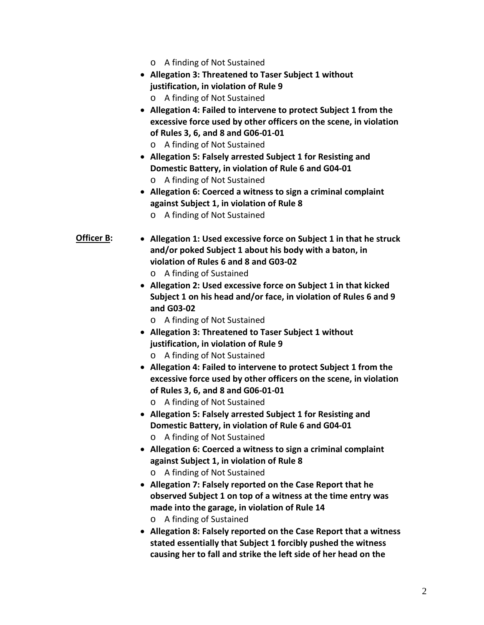- o A finding of Not Sustained
- **Allegation 3: Threatened to Taser Subject 1 without justification, in violation of Rule 9**
	- o A finding of Not Sustained
- **Allegation 4: Failed to intervene to protect Subject 1 from the excessive force used by other officers on the scene, in violation of Rules 3, 6, and 8 and G06-01-01**
	- o A finding of Not Sustained
- **Allegation 5: Falsely arrested Subject 1 for Resisting and Domestic Battery, in violation of Rule 6 and G04-01** o A finding of Not Sustained
- **Allegation 6: Coerced a witness to sign a criminal complaint against Subject 1, in violation of Rule 8**
	- o A finding of Not Sustained
- **Officer B: Allegation 1: Used excessive force on Subject 1 in that he struck and/or poked Subject 1 about his body with a baton, in violation of Rules 6 and 8 and G03-02** o A finding of Sustained
	- **Allegation 2: Used excessive force on Subject 1 in that kicked Subject 1 on his head and/or face, in violation of Rules 6 and 9 and G03-02**
		- o A finding of Not Sustained
	- **Allegation 3: Threatened to Taser Subject 1 without justification, in violation of Rule 9**
		- o A finding of Not Sustained
	- **Allegation 4: Failed to intervene to protect Subject 1 from the excessive force used by other officers on the scene, in violation of Rules 3, 6, and 8 and G06-01-01**
		- o A finding of Not Sustained
	- **Allegation 5: Falsely arrested Subject 1 for Resisting and Domestic Battery, in violation of Rule 6 and G04-01**
		- o A finding of Not Sustained
	- **Allegation 6: Coerced a witness to sign a criminal complaint against Subject 1, in violation of Rule 8**
		- o A finding of Not Sustained
	- **Allegation 7: Falsely reported on the Case Report that he observed Subject 1 on top of a witness at the time entry was made into the garage, in violation of Rule 14** o A finding of Sustained
	- **Allegation 8: Falsely reported on the Case Report that a witness stated essentially that Subject 1 forcibly pushed the witness causing her to fall and strike the left side of her head on the**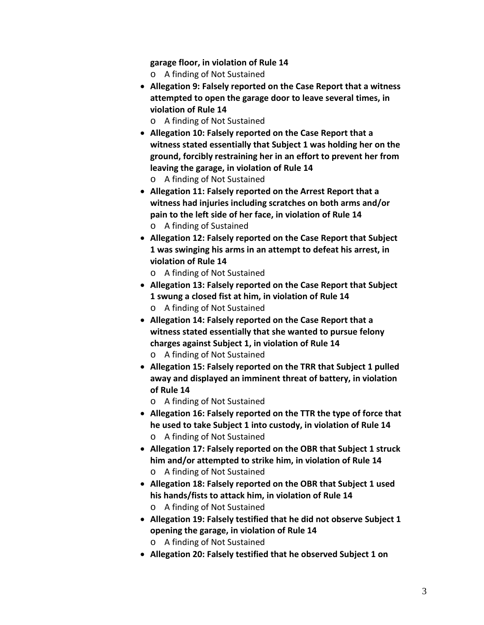**garage floor, in violation of Rule 14**

- o A finding of Not Sustained
- **Allegation 9: Falsely reported on the Case Report that a witness attempted to open the garage door to leave several times, in violation of Rule 14**
	- o A finding of Not Sustained
- **Allegation 10: Falsely reported on the Case Report that a witness stated essentially that Subject 1 was holding her on the ground, forcibly restraining her in an effort to prevent her from leaving the garage, in violation of Rule 14**
	- o A finding of Not Sustained
- **Allegation 11: Falsely reported on the Arrest Report that a witness had injuries including scratches on both arms and/or pain to the left side of her face, in violation of Rule 14** o A finding of Sustained
- **Allegation 12: Falsely reported on the Case Report that Subject**
- **1 was swinging his arms in an attempt to defeat his arrest, in violation of Rule 14**
	- o A finding of Not Sustained
- **Allegation 13: Falsely reported on the Case Report that Subject 1 swung a closed fist at him, in violation of Rule 14**
	- o A finding of Not Sustained
- **Allegation 14: Falsely reported on the Case Report that a witness stated essentially that she wanted to pursue felony charges against Subject 1, in violation of Rule 14**
	- o A finding of Not Sustained
- **Allegation 15: Falsely reported on the TRR that Subject 1 pulled away and displayed an imminent threat of battery, in violation of Rule 14**
	- o A finding of Not Sustained
- **Allegation 16: Falsely reported on the TTR the type of force that he used to take Subject 1 into custody, in violation of Rule 14**
	- o A finding of Not Sustained
- **Allegation 17: Falsely reported on the OBR that Subject 1 struck him and/or attempted to strike him, in violation of Rule 14** o A finding of Not Sustained
- **Allegation 18: Falsely reported on the OBR that Subject 1 used his hands/fists to attack him, in violation of Rule 14** o A finding of Not Sustained
- **Allegation 19: Falsely testified that he did not observe Subject 1 opening the garage, in violation of Rule 14**
	- o A finding of Not Sustained
- **Allegation 20: Falsely testified that he observed Subject 1 on**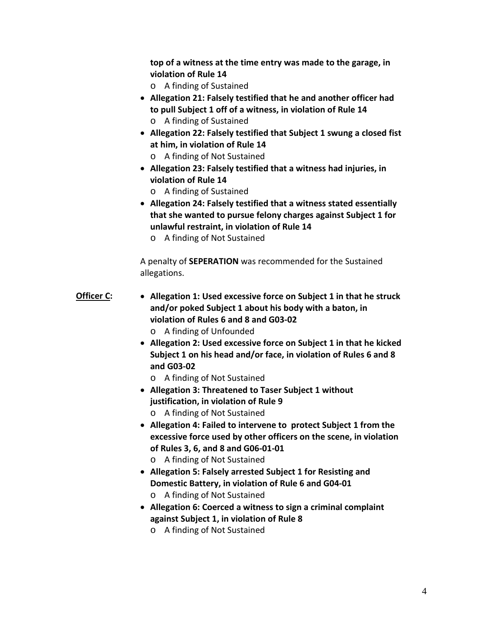**top of a witness at the time entry was made to the garage, in violation of Rule 14**

- o A finding of Sustained
- **Allegation 21: Falsely testified that he and another officer had to pull Subject 1 off of a witness, in violation of Rule 14**
	- o A finding of Sustained
- **Allegation 22: Falsely testified that Subject 1 swung a closed fist at him, in violation of Rule 14**
	- o A finding of Not Sustained
- **Allegation 23: Falsely testified that a witness had injuries, in violation of Rule 14**
	- o A finding of Sustained
- **Allegation 24: Falsely testified that a witness stated essentially that she wanted to pursue felony charges against Subject 1 for unlawful restraint, in violation of Rule 14**
	- o A finding of Not Sustained

A penalty of **SEPERATION** was recommended for the Sustained allegations.

- **Officer C: Allegation 1: Used excessive force on Subject 1 in that he struck and/or poked Subject 1 about his body with a baton, in violation of Rules 6 and 8 and G03-02**
	- o A finding of Unfounded
	- **Allegation 2: Used excessive force on Subject 1 in that he kicked Subject 1 on his head and/or face, in violation of Rules 6 and 8 and G03-02**
		- o A finding of Not Sustained
	- **Allegation 3: Threatened to Taser Subject 1 without justification, in violation of Rule 9**
		- o A finding of Not Sustained
	- **Allegation 4: Failed to intervene to protect Subject 1 from the excessive force used by other officers on the scene, in violation of Rules 3, 6, and 8 and G06-01-01**
		- o A finding of Not Sustained
	- **Allegation 5: Falsely arrested Subject 1 for Resisting and Domestic Battery, in violation of Rule 6 and G04-01** o A finding of Not Sustained
	- **Allegation 6: Coerced a witness to sign a criminal complaint against Subject 1, in violation of Rule 8**
		- o A finding of Not Sustained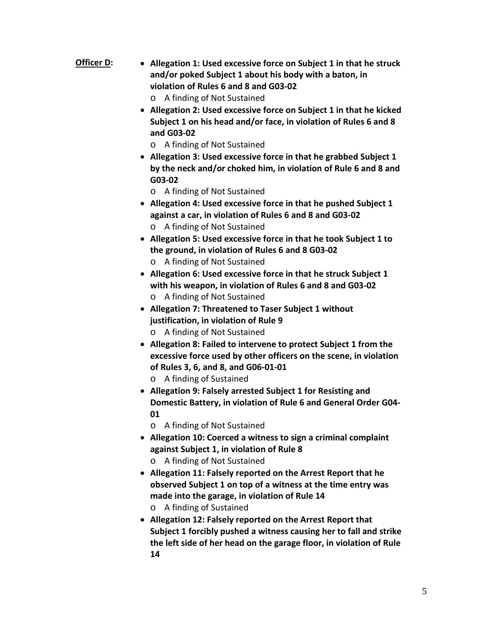- **Officer D: Allegation 1: Used excessive force on Subject 1 in that he struck and/or poked Subject 1 about his body with a baton, in violation of Rules 6 and 8 and G03-02**
	- o A finding of Not Sustained
	- **Allegation 2: Used excessive force on Subject 1 in that he kicked Subject 1 on his head and/or face, in violation of Rules 6 and 8 and G03-02**
		- o A finding of Not Sustained
	- **Allegation 3: Used excessive force in that he grabbed Subject 1 by the neck and/or choked him, in violation of Rule 6 and 8 and G03-02**
		- o A finding of Not Sustained
	- **Allegation 4: Used excessive force in that he pushed Subject 1 against a car, in violation of Rules 6 and 8 and G03-02**
		- o A finding of Not Sustained
	- **Allegation 5: Used excessive force in that he took Subject 1 to the ground, in violation of Rules 6 and 8 G03-02**
		- o A finding of Not Sustained
	- **Allegation 6: Used excessive force in that he struck Subject 1 with his weapon, in violation of Rules 6 and 8 and G03-02** o A finding of Not Sustained
	- **Allegation 7: Threatened to Taser Subject 1 without justification, in violation of Rule 9**
		- o A finding of Not Sustained
	- **Allegation 8: Failed to intervene to protect Subject 1 from the excessive force used by other officers on the scene, in violation of Rules 3, 6, and 8, and G06-01-01**
		- o A finding of Sustained
	- **Allegation 9: Falsely arrested Subject 1 for Resisting and Domestic Battery, in violation of Rule 6 and General Order G04- 01**
		- o A finding of Not Sustained
	- **Allegation 10: Coerced a witness to sign a criminal complaint against Subject 1, in violation of Rule 8**
		- o A finding of Not Sustained
	- **Allegation 11: Falsely reported on the Arrest Report that he observed Subject 1 on top of a witness at the time entry was made into the garage, in violation of Rule 14**
		- o A finding of Sustained
	- **Allegation 12: Falsely reported on the Arrest Report that Subject 1 forcibly pushed a witness causing her to fall and strike the left side of her head on the garage floor, in violation of Rule 14**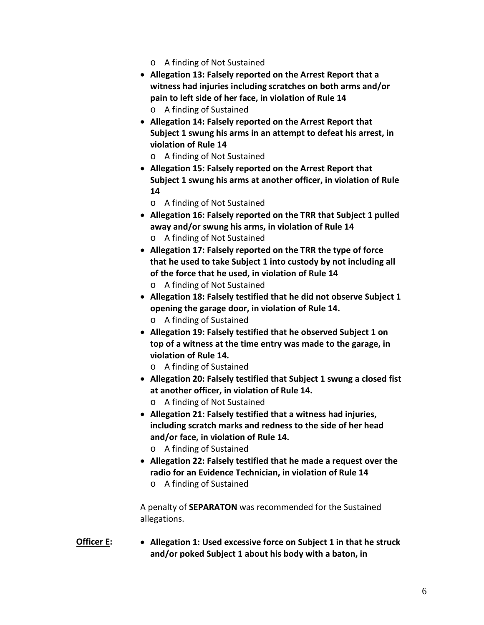- o A finding of Not Sustained
- **Allegation 13: Falsely reported on the Arrest Report that a witness had injuries including scratches on both arms and/or pain to left side of her face, in violation of Rule 14** o A finding of Sustained
- **Allegation 14: Falsely reported on the Arrest Report that Subject 1 swung his arms in an attempt to defeat his arrest, in violation of Rule 14**
	- o A finding of Not Sustained
- **Allegation 15: Falsely reported on the Arrest Report that Subject 1 swung his arms at another officer, in violation of Rule 14**
	- o A finding of Not Sustained
- **Allegation 16: Falsely reported on the TRR that Subject 1 pulled away and/or swung his arms, in violation of Rule 14**
	- o A finding of Not Sustained
- **Allegation 17: Falsely reported on the TRR the type of force that he used to take Subject 1 into custody by not including all of the force that he used, in violation of Rule 14**
	- o A finding of Not Sustained
- **Allegation 18: Falsely testified that he did not observe Subject 1 opening the garage door, in violation of Rule 14.**
	- o A finding of Sustained
- **Allegation 19: Falsely testified that he observed Subject 1 on top of a witness at the time entry was made to the garage, in violation of Rule 14.**
	- o A finding of Sustained
- **Allegation 20: Falsely testified that Subject 1 swung a closed fist at another officer, in violation of Rule 14.**
	- o A finding of Not Sustained
- **Allegation 21: Falsely testified that a witness had injuries, including scratch marks and redness to the side of her head and/or face, in violation of Rule 14.**
	- o A finding of Sustained
- **Allegation 22: Falsely testified that he made a request over the radio for an Evidence Technician, in violation of Rule 14**
	- o A finding of Sustained

A penalty of **SEPARATON** was recommended for the Sustained allegations.

**Officer E: Allegation 1: Used excessive force on Subject 1 in that he struck and/or poked Subject 1 about his body with a baton, in**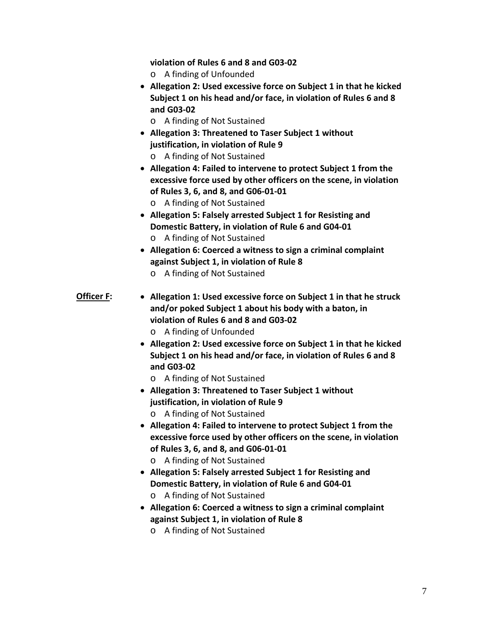**violation of Rules 6 and 8 and G03-02**

- o A finding of Unfounded
- **Allegation 2: Used excessive force on Subject 1 in that he kicked Subject 1 on his head and/or face, in violation of Rules 6 and 8 and G03-02**
	- o A finding of Not Sustained
- **Allegation 3: Threatened to Taser Subject 1 without justification, in violation of Rule 9** o A finding of Not Sustained
- **Allegation 4: Failed to intervene to protect Subject 1 from the excessive force used by other officers on the scene, in violation of Rules 3, 6, and 8, and G06-01-01**
	- o A finding of Not Sustained
- **Allegation 5: Falsely arrested Subject 1 for Resisting and Domestic Battery, in violation of Rule 6 and G04-01**
	- o A finding of Not Sustained
- **Allegation 6: Coerced a witness to sign a criminal complaint against Subject 1, in violation of Rule 8** o A finding of Not Sustained
- **Officer F: Allegation 1: Used excessive force on Subject 1 in that he struck and/or poked Subject 1 about his body with a baton, in violation of Rules 6 and 8 and G03-02**
	- o A finding of Unfounded
	- **Allegation 2: Used excessive force on Subject 1 in that he kicked Subject 1 on his head and/or face, in violation of Rules 6 and 8 and G03-02**
		- o A finding of Not Sustained
	- **Allegation 3: Threatened to Taser Subject 1 without justification, in violation of Rule 9**
		- o A finding of Not Sustained
	- **Allegation 4: Failed to intervene to protect Subject 1 from the excessive force used by other officers on the scene, in violation of Rules 3, 6, and 8, and G06-01-01**
		- o A finding of Not Sustained
	- **Allegation 5: Falsely arrested Subject 1 for Resisting and Domestic Battery, in violation of Rule 6 and G04-01** o A finding of Not Sustained
	- **Allegation 6: Coerced a witness to sign a criminal complaint against Subject 1, in violation of Rule 8**
		- o A finding of Not Sustained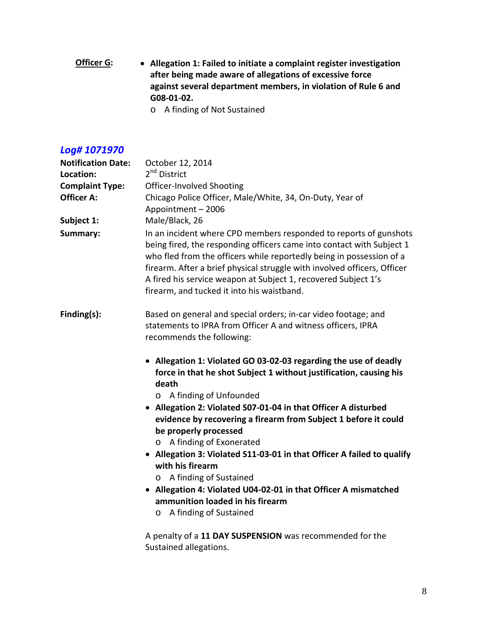**Officer G: Allegation 1: Failed to initiate a complaint register investigation after being made aware of allegations of excessive force against several department members, in violation of Rule 6 and G08-01-02.**

o A finding of Not Sustained

## *Log# 1071970*

| <b>Notification Date:</b> | October 12, 2014                                                                                                                                                                                                                                                                                                                                                                                                                                                                                                                                                                                                                                             |
|---------------------------|--------------------------------------------------------------------------------------------------------------------------------------------------------------------------------------------------------------------------------------------------------------------------------------------------------------------------------------------------------------------------------------------------------------------------------------------------------------------------------------------------------------------------------------------------------------------------------------------------------------------------------------------------------------|
| Location:                 | 2 <sup>nd</sup> District                                                                                                                                                                                                                                                                                                                                                                                                                                                                                                                                                                                                                                     |
| <b>Complaint Type:</b>    | Officer-Involved Shooting                                                                                                                                                                                                                                                                                                                                                                                                                                                                                                                                                                                                                                    |
| <b>Officer A:</b>         | Chicago Police Officer, Male/White, 34, On-Duty, Year of<br>Appointment - 2006                                                                                                                                                                                                                                                                                                                                                                                                                                                                                                                                                                               |
| Subject 1:                | Male/Black, 26                                                                                                                                                                                                                                                                                                                                                                                                                                                                                                                                                                                                                                               |
| Summary:                  | In an incident where CPD members responded to reports of gunshots<br>being fired, the responding officers came into contact with Subject 1<br>who fled from the officers while reportedly being in possession of a<br>firearm. After a brief physical struggle with involved officers, Officer<br>A fired his service weapon at Subject 1, recovered Subject 1's<br>firearm, and tucked it into his waistband.                                                                                                                                                                                                                                               |
| Finding(s):               | Based on general and special orders; in-car video footage; and<br>statements to IPRA from Officer A and witness officers, IPRA<br>recommends the following:                                                                                                                                                                                                                                                                                                                                                                                                                                                                                                  |
|                           | • Allegation 1: Violated GO 03-02-03 regarding the use of deadly<br>force in that he shot Subject 1 without justification, causing his<br>death<br>A finding of Unfounded<br>• Allegation 2: Violated S07-01-04 in that Officer A disturbed<br>evidence by recovering a firearm from Subject 1 before it could<br>be properly processed<br>A finding of Exonerated<br>$\circ$<br>• Allegation 3: Violated S11-03-01 in that Officer A failed to qualify<br>with his firearm<br>A finding of Sustained<br>$\circ$<br>• Allegation 4: Violated U04-02-01 in that Officer A mismatched<br>ammunition loaded in his firearm<br>A finding of Sustained<br>$\circ$ |
|                           | A penalty of a 11 DAY SUSPENSION was recommended for the                                                                                                                                                                                                                                                                                                                                                                                                                                                                                                                                                                                                     |

Sustained allegations.